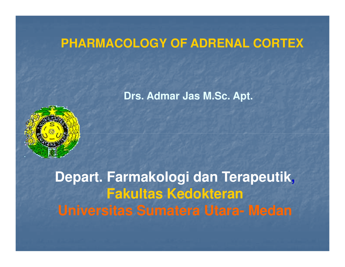## **PHARMACOLOGY OF ADRENAL CORTEX**

**Drs. Admar Jas M.Sc. Apt.**



**Depart. Farmakologi dan Terapeutik,Fakultas KedokteranUniversitas Sumatera Utara- Medan**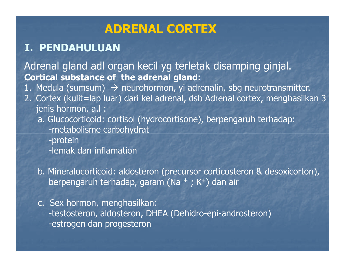## ADRENAL CORTEX

## I. PENDAHULUAN

Adrenal gland adl organ kecil yg terletak disamping ginjal.Cortical substance of the adrenal gland:

1. Medula (sumsum) → neurohormon, yi adrenalin, sbg neurotransmitter.<br>2. Cortex (kulit=lan luar) dari kel adrenal, dsh Adrenal cortex, menghasilk

- 2. Cortex (kulit=lap luar) dari kel adrenal, dsb Adrenal cortex, menghasilkan 3 jenis hormon, a.l :
	- a. Glucocorticoid: cortisol (hydrocortisone), berpengaruh terhadap:-metabolisme carbohydrat
		- -protein
		- -lemak dan inflamation
	- b. Mineralocorticoid: aldosteron (precursor corticosteron & desoxicorton), berpengaruh terhadap, garam (Na  $+$ ; K $+$ ) dan air
	- c. Sex hormon, menghasilkan: -testosteron, aldosteron, DHEA (Dehidro-epi-androsteron)-estrogen dan progesteron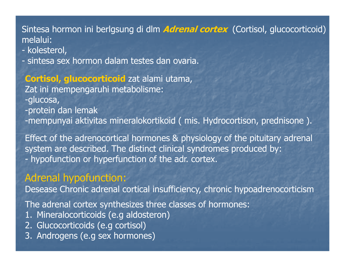### Sintesa hormon ini berlgsung di dlm *Adrenal cortex* (Cortisol, glucocorticoid) melalui:

- kolesterol,<br>- sintesa sex
- sintesa sex hormon dalam testes dan ovaria.

## Cortisol, glucocorticoid zat alami utama,<br>-

Zat ini mempengaruhi metabolisme:

- -glucosa,
- -protein dan lemak
- -mempunyai aktivitas mineralokortikoid ( mis. Hydrocortison, prednisone ).

Effect of the adrenocortical hormones & physiology of the pituitary adrenal system are described. The distinct clinical syndromes produced by:hypofunction or hyperfunction of the adr. cortex.

### Adrenal hypofunction:

Desease Chronic adrenal cortical insufficiency, chronic hypoadrenocorticism

The adrenal cortex synthesizes three classes of hormones:

- 1. Mineralocorticoids (e.g aldosteron)
- 2. Glucocorticoids (e.g cortisol)
- 3. Androgens (e.g sex hormones)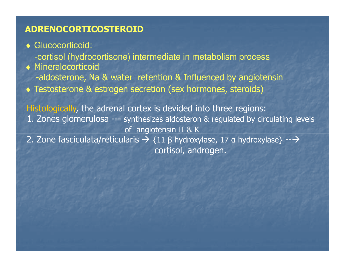### ADRENOCORTICOSTEROID

- ♦ Glucocorticoid:
	- -cortisol (hydrocortisone) intermediate in metabolism process
- ♦ Mineralocorticoid -aldosterone, Na & water retention & Influenced by angiotensin
- ♦ Testosterone & estrogen secretion (sex hormones, steroids)

Histologically, the adrenal cortex is devided into three regions: 1. Zones glomerulosa --- synthesizes aldosteron & regulated by circulating levelsof angiotensin II & K2. Zone fasciculata/reticularis  $\rightarrow$  {11 β hydroxylase, 17 a hydroxylase} -- $\rightarrow$ cortisol, androgen.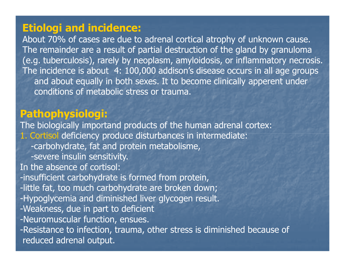### Etiologi and incidence:

 About 70% of cases are due to adrenal cortical atrophy of unknown cause. The remainder are a result of partial destruction of the gland by granuloma (e.g. tuberculosis), rarely by neoplasm, amyloidosis, or inflammatory necrosis.The incidence is about 4: 100,000 addison's disease occurs in all age groups and about equally in both sexes. It to become clinically apperent under conditions of metabolic stress or trauma.

## Pathophysiologi:

 The biologically importand products of the human adrenal cortex: 1. Cortisol deficiency produce disturbances in intermediate:-carbohydrate, fat and protein metabolisme, -severe insulin sensitivity. In the absence of cortisol: -insufficient carbohydrate is formed from protein, -little fat, too much carbohydrate are broken down; -Hypoglycemia and diminished liver glycogen result.-Weakness, due in part to deficient -Neuromuscular function, ensues. -Resistance to infection, trauma, other stress is diminished because of reduced adrenal output.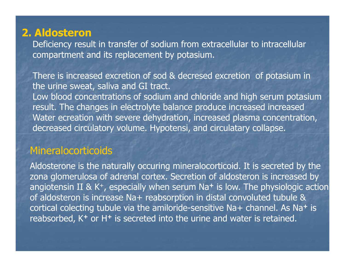## 2. Aldosteron

 Deficiency result in transfer of sodium from extracellular to intracellular compartment and its replacement by potasium.

There is increased excretion of sod & decresed excretion of potasium in the urine sweat, saliva and GI tract.

 Low blood concentrations of sodium and chloride and high serum potasium result. The changes in electrolyte balance produce increased increased Water ecreation with severe dehydration, increased plasma concentration, decreased circulatory volume. Hypotensi, and circulatary collapse.

### **Mineralocorticoids**

Aldosterone is the naturally occuring mineralocorticoid. It is secreted by the zona glomerulosa of adrenal cortex. Secretion of aldosteron is increased by angiotensin II & K<sup>+</sup>, especially when serum Na<sup>+</sup> is low. The physiologic action of aldosteron is increase Na+ reabsorption in distal convoluted tubule & cortical colecting tubule via the amiloride-sensitive Na+ channel. As Na+ is reabsorbed, K+ or H<sup>+</sup> is secreted into the urine and water is retained.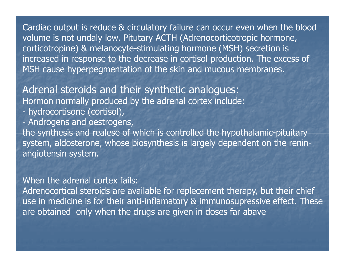Cardiac output is reduce & circulatory failure can occur even when the blood volume is not undaly low. Pitutary ACTH (Adrenocorticotropic hormone, corticotropine) & melanocyte-stimulating hormone (MSH) secretion is increased in response to the decrease in cortisol production. The excess of MSH cause hyperpegmentation of the skin and mucous membranes.

Adrenal steroids and their synthetic analogues:Hormon normally produced by the adrenal cortex include:

- hydrocortisone (cortisol),<br>- Androgens and oestrogen
- Androgens and oestrogens,<br>the synthesis and realese of **w**

the synthesis and realese of which is controlled the hypothalamic-pituitary system, aldosterone, whose biosynthesis is largely dependent on the reninangiotensin system.

When the adrenal cortex fails:

 Adrenocortical steroids are available for replecement therapy, but their chief use in medicine is for their anti-inflamatory & immunosupressive effect. These are obtained only when the drugs are given in doses far abave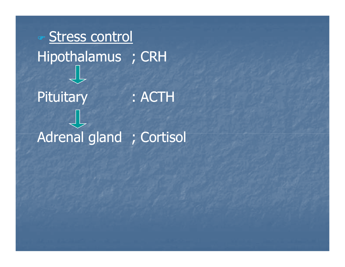# తా **Stress control** Hipothalamus ; CRH **Pituitary**  : ACTH Adrenal gland ; Cortisol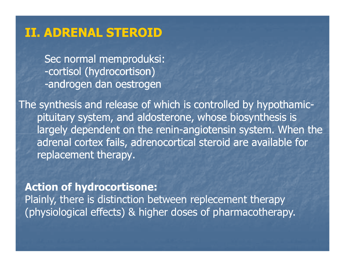# II. ADRENAL STEROID

Sec normal memproduksi:-cortisol (hydrocortison) -androgen dan oestrogen

The synthesis and release of which is controlled by hypothamicpituitary system, and aldosterone, whose biosynthesis is largely dependent on the renin-angiotensin system. When the adrenal cortex fails, adrenocortical steroid are available for replacement therapy.

### Action of hydrocortisone:

 Plainly, there is distinction between replecement therapy(physiological effects) & higher doses of pharmacotherapy.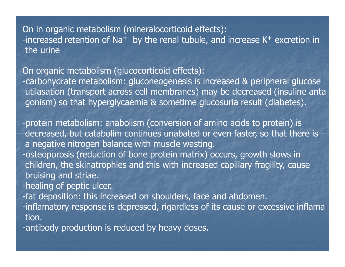On in organic metabolism (mineralocorticoid effects):-increased retention of Na<sup>+</sup> by the renal tubule, and increase  $K^+$  excretion in the urine

On organic metabolism (glucocorticoid effects):

 -carbohydrate metabolism: gluconeogenesis is increased & peripheral glucose utilasation (transport across cell membranes) may be decreased (insuline antagonism) so that hyperglycaemia & sometime glucosuria result (diabetes).

- -protein metabolism: anabolism (conversion of amino acids to protein) is decreased, but catabolim continues unabated or even faster, so that there is a negative nitrogen balance with muscle wasting.
- -osteoporosis (reduction of bone protein matrix) occurs, growth slows in children, the skinatrophies and this with increased capillary fragility, cause bruising and striae.

-healing of peptic ulcer.

-fat deposition: this increased on shoulders, face and abdomen.

- -inflamatory response is depressed, rigardless of its cause or excessive inflamation.
- -antibody production is reduced by heavy doses.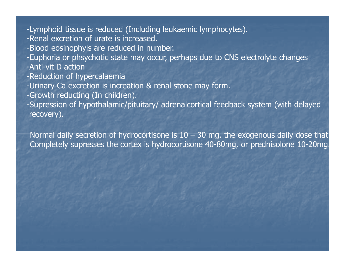- -Lymphoid tissue is reduced (Including leukaemic lymphocytes).
- -Renal excretion of urate is increased.
- -Blood eosinophyls are reduced in number.
- -Euphoria or phsychotic state may occur, perhaps due to CNS electrolyte changes-Anti-vit D action
- -Reduction of hypercalaemia
- -Urinary Ca excretion is increation & renal stone may form.
- -Growth reducting (In children).

 -Supression of hypothalamic/pituitary/ adrenalcortical feedback system (with delayedrecovery).

Normal daily secretion of hydrocortisone is  $10 - 30$  mg. the exogenous daily dose that Completely supresses the cortex is hydrocortisone 40-80mg, or prednisolone 10-20mg.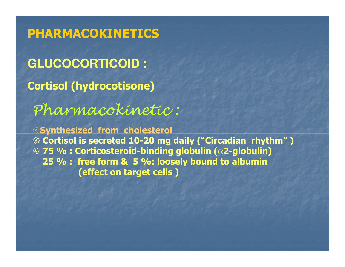**GLUCOCORTICOID :** Cortisol (hydrocotisone)PHARMACOKINETICS

Pharmacokinetic :

Synthesized from cholesterol<sup><sup>2</sup> Cortisol is secreted 10-20 mg daily ("Circadian rhythm")<br>2 75 % : Corticosteroid-binding alobulin (x2-alobulin)</sup>  $%$  75 % : Corticosteroid-binding globulin (α2-globulin)<br>25 % : free form & 5 %; loosely bound to albumin 25 % : free form & 5 %: loosely bound to albumin(effect on target cells )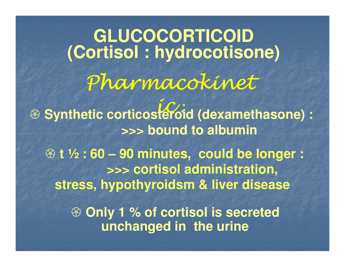Pharmacokineticeroi **GLUCOCORTICOID(Cortisol : hydrocotisone) <sup><sup>8</sup> Synthetic corticosteroid (dexamethasone) :**<br>
stating to albumin</sup> **>>> bound to albumin Only 1 % of cortisol is secreted unchanged in the urine t ½ : 60 – 90 minutes, could be longer : >>> cortisol administration, stress, hypothyroidsm & liver disease**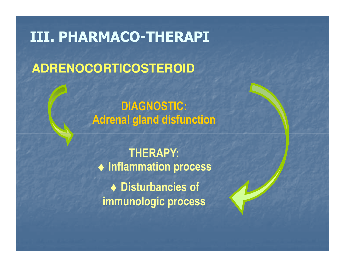# III. PHARMACO-THERAPI

# **ADRENOCORTICOSTEROID**

DIAGNOSTIC:Adrenal gland disfunction

THERAPY: ♦ Inflammation process ♦ Disturbancies of immunologic process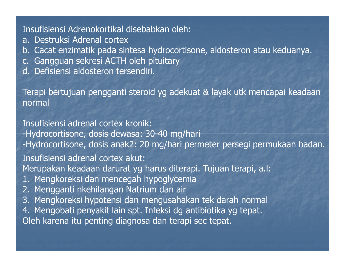#### Insufisiensi Adrenokortikal disebabkan oleh:

- a. Destruksi Adrenal cortex
- b. Cacat enzimatik pada sintesa hydrocortisone, aldosteron atau keduanya.
- c. Gangguan sekresi ACTH oleh pituitary
- d. Defisiensi aldosteron tersendiri.

Terapi bertujuan pengganti steroid yg adekuat & layak utk mencapai keadaan normal

Insufisiensi adrenal cortex kronik: -Hydrocortisone, dosis dewasa: 30-40 mg/hari -Hydrocortisone, dosis anak2: 20 mg/hari permeter persegi permukaan badan.Insufisiensi adrenal cortex akut: Merupakan keadaan darurat yg harus diterapi. Tujuan terapi, a.l:1. Mengkoreksi dan mencegah hypoglycemia 2. Mengganti nkehilangan Natrium dan air 3. Mengkoreksi hypotensi dan mengusahakan tek darah normal 4. Mengobati penyakit lain spt. Infeksi dg antibiotika yg tepat. Oleh karena itu penting diagnosa dan terapi sec tepat.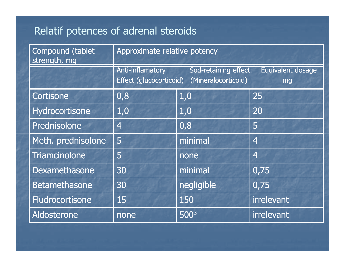## Relatif potences of adrenal steroids

| Compound (tablet<br>strength, mg | Approximate relative potency                |                                             |                         |  |  |
|----------------------------------|---------------------------------------------|---------------------------------------------|-------------------------|--|--|
|                                  | Anti-inflamatory<br>Effect (glucocorticoid) | Sod-retaining effect<br>(Mineralocorticoid) | Equivalent dosage<br>mg |  |  |
| Cortisone                        | 0,8                                         | 1,0                                         | 25                      |  |  |
| Hydrocortisone                   | 1,0                                         | 1,0                                         | 20                      |  |  |
| Prednisolone                     | $\overline{4}$                              | 0,8                                         | 5                       |  |  |
| Meth. prednisolone               | 5                                           | minimal                                     | $\overline{4}$          |  |  |
| <b>Triamcinolone</b>             | 5                                           | none                                        | $\overline{4}$          |  |  |
| Dexamethasone                    | 30                                          | minimal                                     | 0,75                    |  |  |
| <b>Betamethasone</b>             | 30                                          | negligible                                  | 0,75                    |  |  |
| Fludrocortisone                  | 15                                          | 150                                         | irrelevant              |  |  |
| Aldosterone                      | none                                        | 5003                                        | irrelevant              |  |  |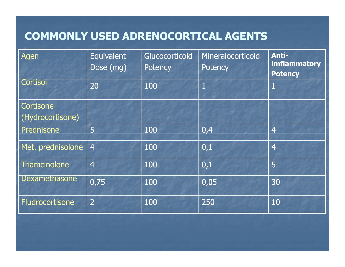## COMMONLY USED ADRENOCORTICAL AGENTS

| Agen                   | <b>Equivalent</b><br>Dose (mg) | Glucocorticoid<br><b>Potency</b> | Mineralocorticoid<br><b>Potency</b> | Anti-<br><b>imflammatory</b><br><b>Potency</b> |
|------------------------|--------------------------------|----------------------------------|-------------------------------------|------------------------------------------------|
| Cortisol               | 20                             | 100                              |                                     | 1                                              |
| <b>Cortisone</b>       |                                |                                  |                                     |                                                |
| (Hydrocortisone)       |                                |                                  |                                     |                                                |
| Prednisone             | 5                              | 100                              | 0,4                                 | $\overline{4}$                                 |
| Met. prednisolone      | $\overline{4}$                 | 100                              | 0,1                                 | $\overline{4}$                                 |
| Triamcinolone          | $\overline{4}$                 | 100                              | 0,1                                 | 5                                              |
| Dexamethasone          | 0,75                           | 100                              | 0,05                                | 30                                             |
| <b>Fludrocortisone</b> | $\overline{2}$                 | 100                              | 250                                 | 10                                             |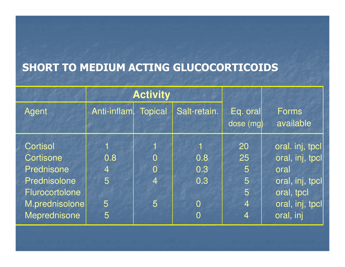## SHORT TO MEDIUM ACTING GLUCOCORTICOIDS

|                                                                  | <b>Activity</b>       |                     |                                         |                               |                                                               |
|------------------------------------------------------------------|-----------------------|---------------------|-----------------------------------------|-------------------------------|---------------------------------------------------------------|
| Agent                                                            | Anti-inflam.          | <b>Topical</b>      | Salt-retain.                            | Eq. oral<br>dose (mg)         | <b>Forms</b><br>available                                     |
| <b>Cortisol</b><br>Cortisone<br>Prednisone                       | 0.8<br>$\overline{4}$ | O<br>$\overline{0}$ | 0.8<br>0.3                              | 20<br>25<br>5                 | oral. inj, tpcl<br>oral, inj, tpcl<br>oral                    |
| Prednisolone<br>Flurocortolone<br>M.prednisolone<br>Meprednisone | 5<br>5<br>5           | 4<br>5              | 0.3<br>$\overline{0}$<br>$\overline{0}$ | 5<br>5<br>$\overline{4}$<br>4 | oral, inj, tpcl<br>oral, tpcl<br>oral, inj, tpcl<br>oral, inj |